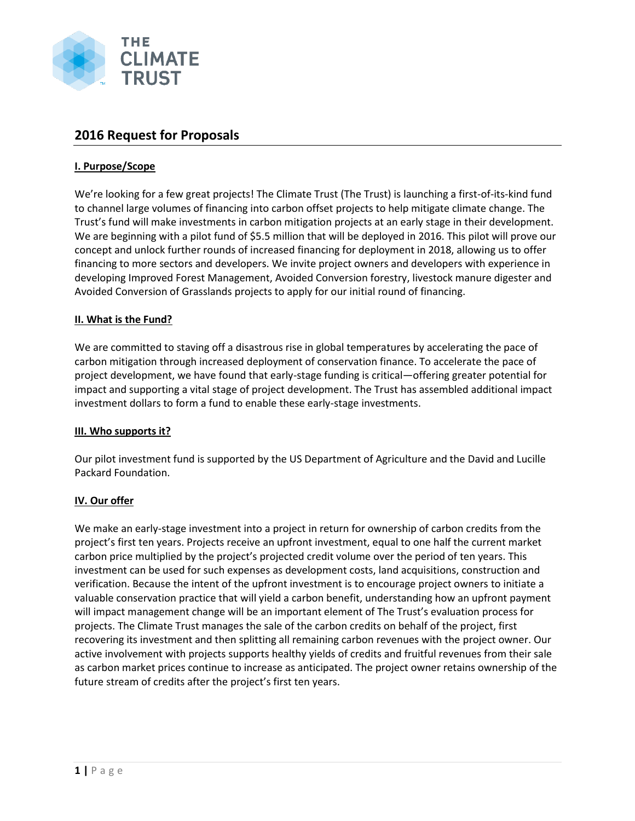

# **2016 Request for Proposals**

# **I. Purpose/Scope**

We're looking for a few great projects! The Climate Trust (The Trust) is launching a first-of-its-kind fund to channel large volumes of financing into carbon offset projects to help mitigate climate change. The Trust's fund will make investments in carbon mitigation projects at an early stage in their development. We are beginning with a pilot fund of \$5.5 million that will be deployed in 2016. This pilot will prove our concept and unlock further rounds of increased financing for deployment in 2018, allowing us to offer financing to more sectors and developers. We invite project owners and developers with experience in developing Improved Forest Management, Avoided Conversion forestry, livestock manure digester and Avoided Conversion of Grasslands projects to apply for our initial round of financing.

# **II. What is the Fund?**

We are committed to staving off a disastrous rise in global temperatures by accelerating the pace of carbon mitigation through increased deployment of conservation finance. To accelerate the pace of project development, we have found that early-stage funding is critical—offering greater potential for impact and supporting a vital stage of project development. The Trust has assembled additional impact investment dollars to form a fund to enable these early-stage investments.

# **III. Who supports it?**

Our pilot investment fund is supported by the US Department of Agriculture and the David and Lucille Packard Foundation.

# **IV. Our offer**

We make an early-stage investment into a project in return for ownership of carbon credits from the project's first ten years. Projects receive an upfront investment, equal to one half the current market carbon price multiplied by the project's projected credit volume over the period of ten years. This investment can be used for such expenses as development costs, land acquisitions, construction and verification. Because the intent of the upfront investment is to encourage project owners to initiate a valuable conservation practice that will yield a carbon benefit, understanding how an upfront payment will impact management change will be an important element of The Trust's evaluation process for projects. The Climate Trust manages the sale of the carbon credits on behalf of the project, first recovering its investment and then splitting all remaining carbon revenues with the project owner. Our active involvement with projects supports healthy yields of credits and fruitful revenues from their sale as carbon market prices continue to increase as anticipated. The project owner retains ownership of the future stream of credits after the project's first ten years.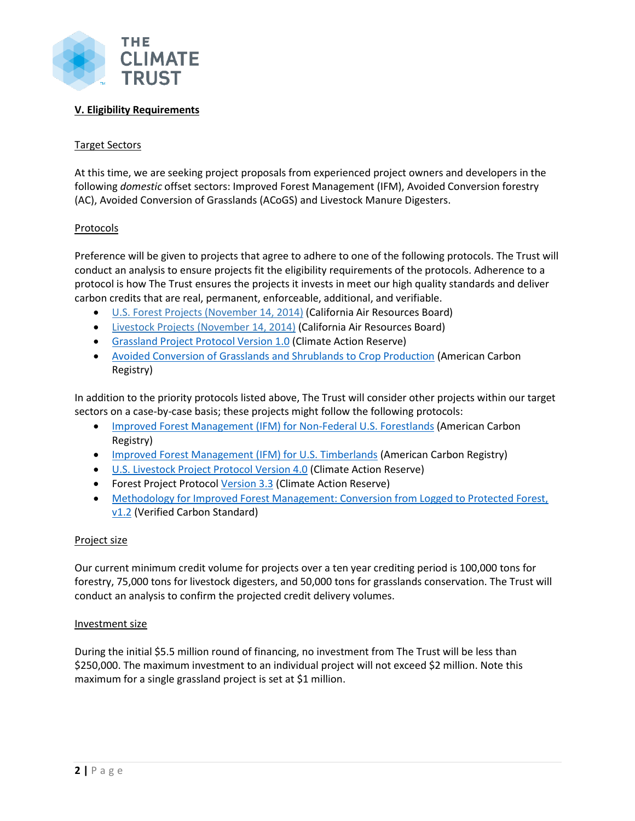

# **V. Eligibility Requirements**

# Target Sectors

At this time, we are seeking project proposals from experienced project owners and developers in the following *domestic* offset sectors: Improved Forest Management (IFM), Avoided Conversion forestry (AC), Avoided Conversion of Grasslands (ACoGS) and Livestock Manure Digesters.

#### Protocols

Preference will be given to projects that agree to adhere to one of the following protocols. The Trust will conduct an analysis to ensure projects fit the eligibility requirements of the protocols. Adherence to a protocol is how The Trust ensures the projects it invests in meet our high quality standards and deliver carbon credits that are real, permanent, enforceable, additional, and verifiable.

- U.S. Forest Projects [\(November](http://www.arb.ca.gov/regact/2014/capandtrade14/ctusforestprojectsprotocol.pdf) 14, 2014) (California Air Resources Board)
- Livestock Projects [\(November](http://www.arb.ca.gov/regact/2014/capandtrade14/ctlivestockprotocol.pdf) 14, 2014) (California Air Resources Board)
- [Grassland Project Protocol Version 1.0](http://www.climateactionreserve.org/wp-content/uploads/2015/07/Grassland_Project_Protocol_V1.0.pdf) (Climate Action Reserve)
- [Avoided Conversion of Grasslands and Shrublands to Crop Production](http://americancarbonregistry.org/carbon-accounting/standards-methodologies/methodology-for-avoided-conversion-of-grasslands-and-shrublands-to-crop-production/acr-acogs-methodology_v1-0_final.pdf) (American Carbon Registry)

In addition to the priority protocols listed above, The Trust will consider other projects within our target sectors on a case-by-case basis; these projects might follow the following protocols:

- [Improved Forest Management \(IFM\) for Non-Federal U.S. Forestlands](http://americancarbonregistry.org/carbon-accounting/standards-methodologies/improved-forest-management-ifm-methodology-for-non-federal-u-s-forestlands/columbia-carbon-acr-ifm-methodology_final-28aug2014_v1-1.pdf) (American Carbon Registry)
- [Improved Forest Management \(IFM\) for U.S. Timberlands](http://americancarbonregistry.org/carbon-accounting/standards-methodologies/improved-forest-management-ifm-methodology-for-increased-forest-carbon-sequestration-on-u-s-timberlands/columbia-carbon-proposed-acr-ifm-methodology-public-comment-draft.pdf) (American Carbon Registry)
- [U.S. Livestock Project Protocol Version 4.0](http://www.climateactionreserve.org/wp-content/uploads/2009/03/U.S._Livestock_Project_Protocol_V4.0_Package_012114.pdf) (Climate Action Reserve)
- Forest Project Protocol [Version 3.3](http://www.climateactionreserve.org/how/protocols/forest/dev/version-3-3/) (Climate Action Reserve)
- [Methodology for Improved Forest Management: Conversion from Logged to Protected Forest,](http://www.v-c-s.org/methodologies/methodology-improved-forest-management-conversion-logged-protected-forest-v12)  [v1.2](http://www.v-c-s.org/methodologies/methodology-improved-forest-management-conversion-logged-protected-forest-v12) (Verified Carbon Standard)

#### Project size

Our current minimum credit volume for projects over a ten year crediting period is 100,000 tons for forestry, 75,000 tons for livestock digesters, and 50,000 tons for grasslands conservation. The Trust will conduct an analysis to confirm the projected credit delivery volumes.

#### Investment size

During the initial \$5.5 million round of financing, no investment from The Trust will be less than \$250,000. The maximum investment to an individual project will not exceed \$2 million. Note this maximum for a single grassland project is set at \$1 million.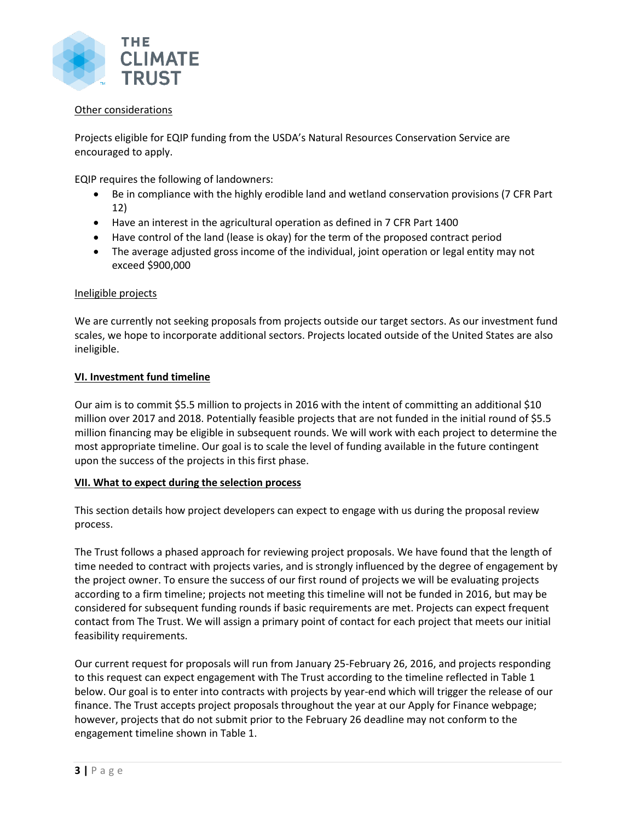

## Other considerations

Projects eligible for EQIP funding from the USDA's Natural Resources Conservation Service are encouraged to apply.

EQIP requires the following of landowners:

- Be in compliance with the highly erodible land and wetland conservation provisions (7 CFR Part 12)
- Have an interest in the agricultural operation as defined in 7 CFR Part 1400
- Have control of the land (lease is okay) for the term of the proposed contract period
- The average adjusted gross income of the individual, joint operation or legal entity may not exceed \$900,000

#### Ineligible projects

We are currently not seeking proposals from projects outside our target sectors. As our investment fund scales, we hope to incorporate additional sectors. Projects located outside of the United States are also ineligible.

#### **VI. Investment fund timeline**

Our aim is to commit \$5.5 million to projects in 2016 with the intent of committing an additional \$10 million over 2017 and 2018. Potentially feasible projects that are not funded in the initial round of \$5.5 million financing may be eligible in subsequent rounds. We will work with each project to determine the most appropriate timeline. Our goal is to scale the level of funding available in the future contingent upon the success of the projects in this first phase.

#### **VII. What to expect during the selection process**

This section details how project developers can expect to engage with us during the proposal review process.

The Trust follows a phased approach for reviewing project proposals. We have found that the length of time needed to contract with projects varies, and is strongly influenced by the degree of engagement by the project owner. To ensure the success of our first round of projects we will be evaluating projects according to a firm timeline; projects not meeting this timeline will not be funded in 2016, but may be considered for subsequent funding rounds if basic requirements are met. Projects can expect frequent contact from The Trust. We will assign a primary point of contact for each project that meets our initial feasibility requirements.

Our current request for proposals will run from January 25-February 26, 2016, and projects responding to this request can expect engagement with The Trust according to the timeline reflected in Table 1 below. Our goal is to enter into contracts with projects by year-end which will trigger the release of our finance. The Trust accepts project proposals throughout the year at our Apply for Finance webpage; however, projects that do not submit prior to the February 26 deadline may not conform to the engagement timeline shown in Table 1.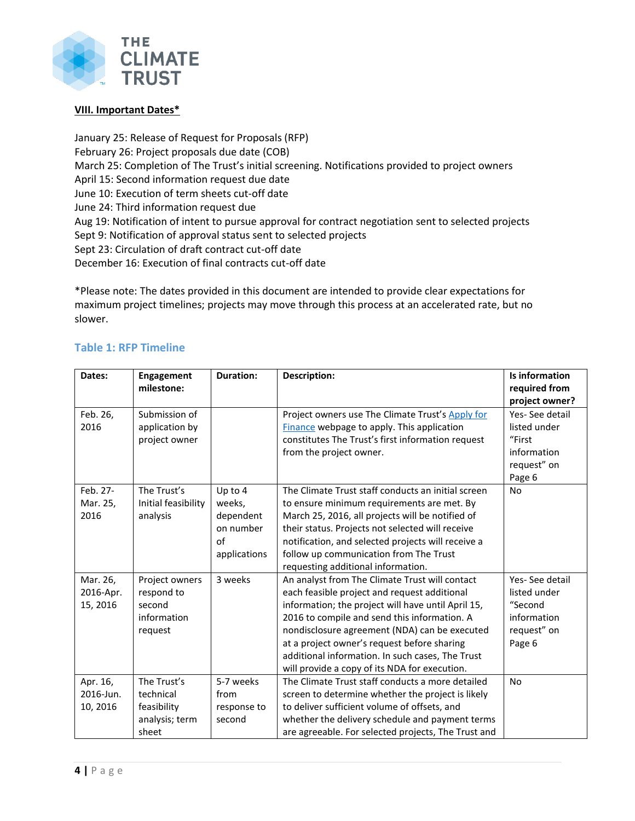

# **VIII. Important Dates\***

January 25: Release of Request for Proposals (RFP) February 26: Project proposals due date (COB) March 25: Completion of The Trust's initial screening. Notifications provided to project owners April 15: Second information request due date June 10: Execution of term sheets cut-off date June 24: Third information request due Aug 19: Notification of intent to pursue approval for contract negotiation sent to selected projects Sept 9: Notification of approval status sent to selected projects Sept 23: Circulation of draft contract cut-off date December 16: Execution of final contracts cut-off date

\*Please note: The dates provided in this document are intended to provide clear expectations for maximum project timelines; projects may move through this process at an accelerated rate, but no slower.

# **Table 1: RFP Timeline**

| Dates:    | Engagement          | <b>Duration:</b> | <b>Description:</b>                                 | Is information |
|-----------|---------------------|------------------|-----------------------------------------------------|----------------|
|           | milestone:          |                  |                                                     | required from  |
|           |                     |                  |                                                     | project owner? |
| Feb. 26,  | Submission of       |                  | Project owners use The Climate Trust's Apply for    | Yes-See detail |
| 2016      | application by      |                  | Finance webpage to apply. This application          | listed under   |
|           | project owner       |                  | constitutes The Trust's first information request   | "First         |
|           |                     |                  | from the project owner.                             | information    |
|           |                     |                  |                                                     | request" on    |
|           |                     |                  |                                                     | Page 6         |
| Feb. 27-  | The Trust's         | Up to 4          | The Climate Trust staff conducts an initial screen  | <b>No</b>      |
| Mar. 25,  | Initial feasibility | weeks,           | to ensure minimum requirements are met. By          |                |
| 2016      | analysis            | dependent        | March 25, 2016, all projects will be notified of    |                |
|           |                     | on number        | their status. Projects not selected will receive    |                |
|           |                     | $\alpha$ f       | notification, and selected projects will receive a  |                |
|           |                     | applications     | follow up communication from The Trust              |                |
|           |                     |                  | requesting additional information.                  |                |
| Mar. 26,  | Project owners      | 3 weeks          | An analyst from The Climate Trust will contact      | Yes-See detail |
| 2016-Apr. | respond to          |                  | each feasible project and request additional        | listed under   |
| 15, 2016  | second              |                  | information; the project will have until April 15,  | "Second        |
|           | information         |                  | 2016 to compile and send this information. A        | information    |
|           | request             |                  | nondisclosure agreement (NDA) can be executed       | request" on    |
|           |                     |                  | at a project owner's request before sharing         | Page 6         |
|           |                     |                  | additional information. In such cases, The Trust    |                |
|           |                     |                  | will provide a copy of its NDA for execution.       |                |
| Apr. 16,  | The Trust's         | 5-7 weeks        | The Climate Trust staff conducts a more detailed    | <b>No</b>      |
| 2016-Jun. | technical           | from             | screen to determine whether the project is likely   |                |
| 10, 2016  | feasibility         | response to      | to deliver sufficient volume of offsets, and        |                |
|           | analysis; term      | second           | whether the delivery schedule and payment terms     |                |
|           | sheet               |                  | are agreeable. For selected projects, The Trust and |                |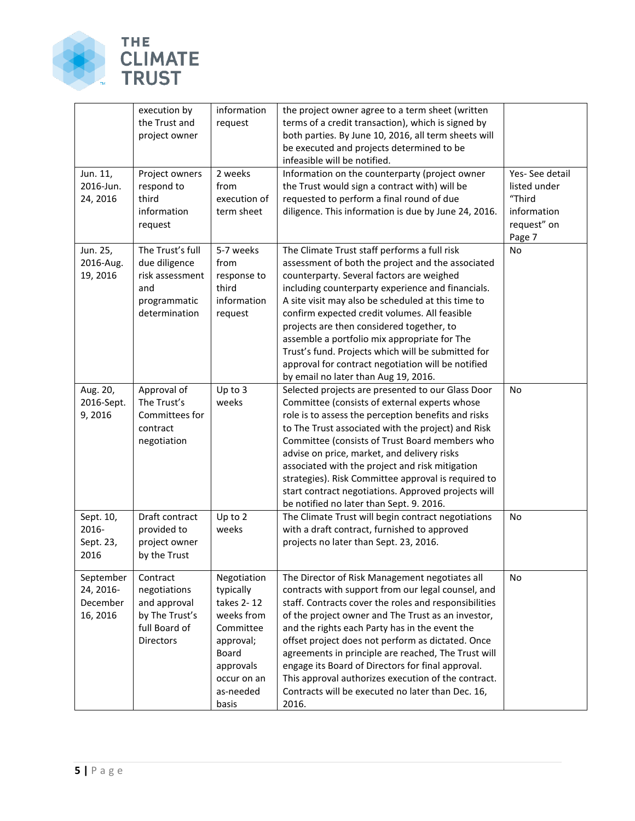

|                                                | execution by<br>the Trust and<br>project owner                                                  | information<br>request                                                                                                                           | the project owner agree to a term sheet (written<br>terms of a credit transaction), which is signed by<br>both parties. By June 10, 2016, all term sheets will<br>be executed and projects determined to be<br>infeasible will be notified.                                                                                                                                                                                                                                                                                                                 |                                                                                  |
|------------------------------------------------|-------------------------------------------------------------------------------------------------|--------------------------------------------------------------------------------------------------------------------------------------------------|-------------------------------------------------------------------------------------------------------------------------------------------------------------------------------------------------------------------------------------------------------------------------------------------------------------------------------------------------------------------------------------------------------------------------------------------------------------------------------------------------------------------------------------------------------------|----------------------------------------------------------------------------------|
| Jun. 11,<br>2016-Jun.<br>24, 2016              | Project owners<br>respond to<br>third<br>information<br>request                                 | 2 weeks<br>from<br>execution of<br>term sheet                                                                                                    | Information on the counterparty (project owner<br>the Trust would sign a contract with) will be<br>requested to perform a final round of due<br>diligence. This information is due by June 24, 2016.                                                                                                                                                                                                                                                                                                                                                        | Yes-See detail<br>listed under<br>"Third<br>information<br>request" on<br>Page 7 |
| Jun. 25,<br>2016-Aug.<br>19, 2016              | The Trust's full<br>due diligence<br>risk assessment<br>and<br>programmatic<br>determination    | 5-7 weeks<br>from<br>response to<br>third<br>information<br>request                                                                              | The Climate Trust staff performs a full risk<br>assessment of both the project and the associated<br>counterparty. Several factors are weighed<br>including counterparty experience and financials.<br>A site visit may also be scheduled at this time to<br>confirm expected credit volumes. All feasible<br>projects are then considered together, to<br>assemble a portfolio mix appropriate for The<br>Trust's fund. Projects which will be submitted for<br>approval for contract negotiation will be notified<br>by email no later than Aug 19, 2016. | No                                                                               |
| Aug. 20,<br>2016-Sept.<br>9,2016               | Approval of<br>The Trust's<br>Committees for<br>contract<br>negotiation                         | Up to 3<br>weeks                                                                                                                                 | Selected projects are presented to our Glass Door<br>Committee (consists of external experts whose<br>role is to assess the perception benefits and risks<br>to The Trust associated with the project) and Risk<br>Committee (consists of Trust Board members who<br>advise on price, market, and delivery risks<br>associated with the project and risk mitigation<br>strategies). Risk Committee approval is required to<br>start contract negotiations. Approved projects will<br>be notified no later than Sept. 9. 2016.                               | No                                                                               |
| Sept. 10,<br>2016-<br>Sept. 23,<br>2016        | Draft contract<br>provided to<br>project owner<br>by the Trust                                  | Up to 2<br>weeks                                                                                                                                 | The Climate Trust will begin contract negotiations<br>with a draft contract, furnished to approved<br>projects no later than Sept. 23, 2016.                                                                                                                                                                                                                                                                                                                                                                                                                | No                                                                               |
| September<br>24, 2016-<br>December<br>16, 2016 | Contract<br>negotiations<br>and approval<br>by The Trust's<br>full Board of<br><b>Directors</b> | Negotiation<br>typically<br>takes 2-12<br>weeks from<br>Committee<br>approval;<br><b>Board</b><br>approvals<br>occur on an<br>as-needed<br>basis | The Director of Risk Management negotiates all<br>contracts with support from our legal counsel, and<br>staff. Contracts cover the roles and responsibilities<br>of the project owner and The Trust as an investor,<br>and the rights each Party has in the event the<br>offset project does not perform as dictated. Once<br>agreements in principle are reached, The Trust will<br>engage its Board of Directors for final approval.<br>This approval authorizes execution of the contract.<br>Contracts will be executed no later than Dec. 16,<br>2016. | No.                                                                              |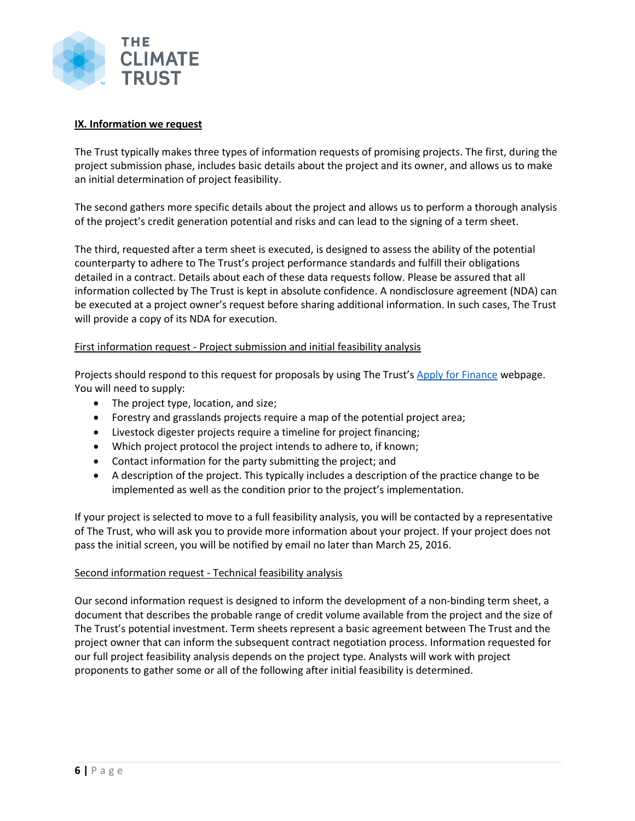

## **IX. Information we request**

The Trust typically makes three types of information requests of promising projects. The first, during the project submission phase, includes basic details about the project and its owner, and allows us to make an initial determination of project feasibility.

The second gathers more specific details about the project and allows us to perform a thorough analysis of the project's credit generation potential and risks and can lead to the signing of a term sheet.

The third, requested after a term sheet is executed, is designed to assess the ability of the potential counterparty to adhere to The Trust's project performance standards and fulfill their obligations detailed in a contract. Details about each of these data requests follow. Please be assured that all information collected by The Trust is kept in absolute confidence. A nondisclosure agreement (NDA) can be executed at a project owner's request before sharing additional information. In such cases, The Trust will provide a copy of its NDA for execution.

# First information request - Project submission and initial feasibility analysis

Projects should respond to this request for proposals by using The Trust's [Apply for Finance](http://www.climatetrust.org/apply-for-conservation-finance/) webpage. You will need to supply:

- The project type, location, and size;
- Forestry and grasslands projects require a map of the potential project area;
- Livestock digester projects require a timeline for project financing;
- Which project protocol the project intends to adhere to, if known;
- Contact information for the party submitting the project; and
- A description of the project. This typically includes a description of the practice change to be implemented as well as the condition prior to the project's implementation.

If your project is selected to move to a full feasibility analysis, you will be contacted by a representative of The Trust, who will ask you to provide more information about your project. If your project does not pass the initial screen, you will be notified by email no later than March 25, 2016.

#### Second information request - Technical feasibility analysis

Our second information request is designed to inform the development of a non-binding term sheet, a document that describes the probable range of credit volume available from the project and the size of The Trust's potential investment. Term sheets represent a basic agreement between The Trust and the project owner that can inform the subsequent contract negotiation process. Information requested for our full project feasibility analysis depends on the project type. Analysts will work with project proponents to gather some or all of the following after initial feasibility is determined.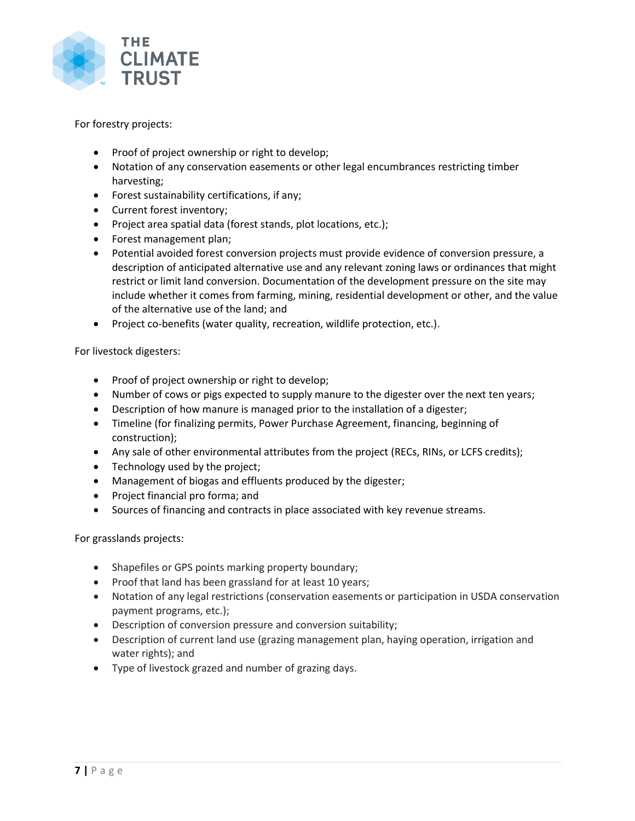

For forestry projects:

- Proof of project ownership or right to develop;
- Notation of any conservation easements or other legal encumbrances restricting timber harvesting;
- Forest sustainability certifications, if any;
- Current forest inventory;
- Project area spatial data (forest stands, plot locations, etc.);
- Forest management plan;
- Potential avoided forest conversion projects must provide evidence of conversion pressure, a description of anticipated alternative use and any relevant zoning laws or ordinances that might restrict or limit land conversion. Documentation of the development pressure on the site may include whether it comes from farming, mining, residential development or other, and the value of the alternative use of the land; and
- Project co-benefits (water quality, recreation, wildlife protection, etc.).

For livestock digesters:

- Proof of project ownership or right to develop;
- Number of cows or pigs expected to supply manure to the digester over the next ten years;
- Description of how manure is managed prior to the installation of a digester;
- Timeline (for finalizing permits, Power Purchase Agreement, financing, beginning of construction);
- Any sale of other environmental attributes from the project (RECs, RINs, or LCFS credits);
- Technology used by the project;
- Management of biogas and effluents produced by the digester;
- Project financial pro forma; and
- Sources of financing and contracts in place associated with key revenue streams.

For grasslands projects:

- Shapefiles or GPS points marking property boundary;
- Proof that land has been grassland for at least 10 years;
- Notation of any legal restrictions (conservation easements or participation in USDA conservation payment programs, etc.);
- Description of conversion pressure and conversion suitability;
- Description of current land use (grazing management plan, haying operation, irrigation and water rights); and
- Type of livestock grazed and number of grazing days.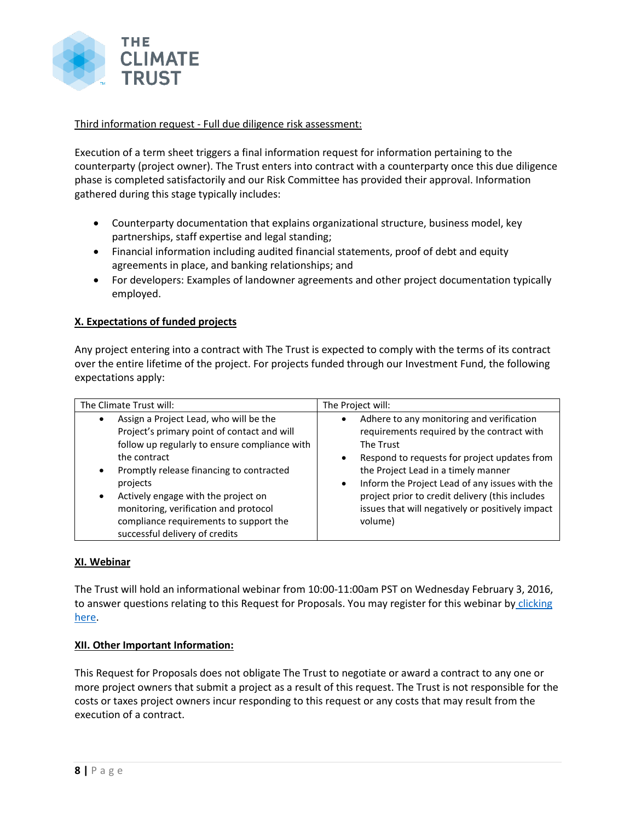

Third information request - Full due diligence risk assessment:

Execution of a term sheet triggers a final information request for information pertaining to the counterparty (project owner). The Trust enters into contract with a counterparty once this due diligence phase is completed satisfactorily and our Risk Committee has provided their approval. Information gathered during this stage typically includes:

- Counterparty documentation that explains organizational structure, business model, key partnerships, staff expertise and legal standing;
- Financial information including audited financial statements, proof of debt and equity agreements in place, and banking relationships; and
- For developers: Examples of landowner agreements and other project documentation typically employed.

# **X. Expectations of funded projects**

Any project entering into a contract with The Trust is expected to comply with the terms of its contract over the entire lifetime of the project. For projects funded through our Investment Fund, the following expectations apply:

| The Climate Trust will:                                                                                                                                                                                                                                                                                                                                                    | The Project will:                                                                                                                                                                                                                                                                                                                                                                                      |  |  |
|----------------------------------------------------------------------------------------------------------------------------------------------------------------------------------------------------------------------------------------------------------------------------------------------------------------------------------------------------------------------------|--------------------------------------------------------------------------------------------------------------------------------------------------------------------------------------------------------------------------------------------------------------------------------------------------------------------------------------------------------------------------------------------------------|--|--|
| Assign a Project Lead, who will be the<br>Project's primary point of contact and will<br>follow up regularly to ensure compliance with<br>the contract<br>Promptly release financing to contracted<br>projects<br>Actively engage with the project on<br>monitoring, verification and protocol<br>compliance requirements to support the<br>successful delivery of credits | Adhere to any monitoring and verification<br>$\bullet$<br>requirements required by the contract with<br>The Trust<br>Respond to requests for project updates from<br>$\bullet$<br>the Project Lead in a timely manner<br>Inform the Project Lead of any issues with the<br>$\bullet$<br>project prior to credit delivery (this includes<br>issues that will negatively or positively impact<br>volume) |  |  |

# **XI. Webinar**

The Trust will hold an informational webinar from 10:00-11:00am PST on Wednesday February 3, 2016, to answer questions relating to this Request for Proposals. You may register for this webinar by clicking [here.](http://anymeeting.com/PIID=EC53D983894B3D)

# **XII. Other Important Information:**

This Request for Proposals does not obligate The Trust to negotiate or award a contract to any one or more project owners that submit a project as a result of this request. The Trust is not responsible for the costs or taxes project owners incur responding to this request or any costs that may result from the execution of a contract.